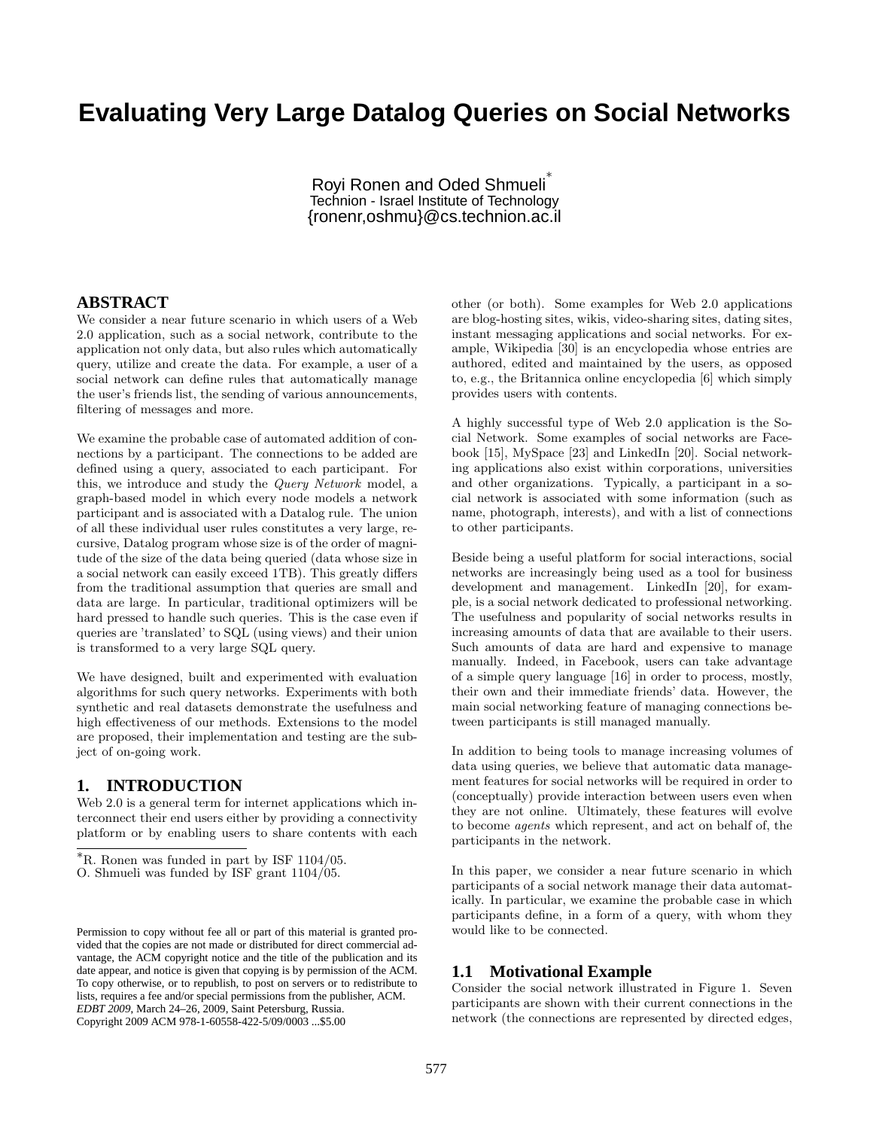# **Evaluating Very Large Datalog Queries on Social Networks**

Royi Ronen and Oded Shmueli<sup>®</sup> Technion - Israel Institute of Technology {ronenr,oshmu}@cs.technion.ac.il

### **ABSTRACT**

We consider a near future scenario in which users of a Web 2.0 application, such as a social network, contribute to the application not only data, but also rules which automatically query, utilize and create the data. For example, a user of a social network can define rules that automatically manage the user's friends list, the sending of various announcements, filtering of messages and more.

We examine the probable case of automated addition of connections by a participant. The connections to be added are defined using a query, associated to each participant. For this, we introduce and study the Query Network model, a graph-based model in which every node models a network participant and is associated with a Datalog rule. The union of all these individual user rules constitutes a very large, recursive, Datalog program whose size is of the order of magnitude of the size of the data being queried (data whose size in a social network can easily exceed 1TB). This greatly differs from the traditional assumption that queries are small and data are large. In particular, traditional optimizers will be hard pressed to handle such queries. This is the case even if queries are 'translated' to SQL (using views) and their union is transformed to a very large SQL query.

We have designed, built and experimented with evaluation algorithms for such query networks. Experiments with both synthetic and real datasets demonstrate the usefulness and high effectiveness of our methods. Extensions to the model are proposed, their implementation and testing are the subject of on-going work.

# **1. INTRODUCTION**

Web 2.0 is a general term for internet applications which interconnect their end users either by providing a connectivity platform or by enabling users to share contents with each other (or both). Some examples for Web 2.0 applications are blog-hosting sites, wikis, video-sharing sites, dating sites, instant messaging applications and social networks. For example, Wikipedia [30] is an encyclopedia whose entries are authored, edited and maintained by the users, as opposed to, e.g., the Britannica online encyclopedia [6] which simply provides users with contents.

A highly successful type of Web 2.0 application is the Social Network. Some examples of social networks are Facebook [15], MySpace [23] and LinkedIn [20]. Social networking applications also exist within corporations, universities and other organizations. Typically, a participant in a social network is associated with some information (such as name, photograph, interests), and with a list of connections to other participants.

Beside being a useful platform for social interactions, social networks are increasingly being used as a tool for business development and management. LinkedIn [20], for example, is a social network dedicated to professional networking. The usefulness and popularity of social networks results in increasing amounts of data that are available to their users. Such amounts of data are hard and expensive to manage manually. Indeed, in Facebook, users can take advantage of a simple query language [16] in order to process, mostly, their own and their immediate friends' data. However, the main social networking feature of managing connections between participants is still managed manually.

In addition to being tools to manage increasing volumes of data using queries, we believe that automatic data management features for social networks will be required in order to (conceptually) provide interaction between users even when they are not online. Ultimately, these features will evolve to become agents which represent, and act on behalf of, the participants in the network.

In this paper, we consider a near future scenario in which participants of a social network manage their data automatically. In particular, we examine the probable case in which participants define, in a form of a query, with whom they would like to be connected.

## **1.1 Motivational Example**

Consider the social network illustrated in Figure 1. Seven participants are shown with their current connections in the network (the connections are represented by directed edges,

<sup>∗</sup>R. Ronen was funded in part by ISF 1104/05.

O. Shmueli was funded by ISF grant 1104/05.

Permission to copy without fee all or part of this material is granted provided that the copies are not made or distributed for direct commercial advantage, the ACM copyright notice and the title of the publication and its date appear, and notice is given that copying is by permission of the ACM. To copy otherwise, or to republish, to post on servers or to redistribute to lists, requires a fee and/or special permissions from the publisher, ACM. *EDBT 2009*, March 24–26, 2009, Saint Petersburg, Russia. Copyright 2009 ACM 978-1-60558-422-5/09/0003 ...\$5.00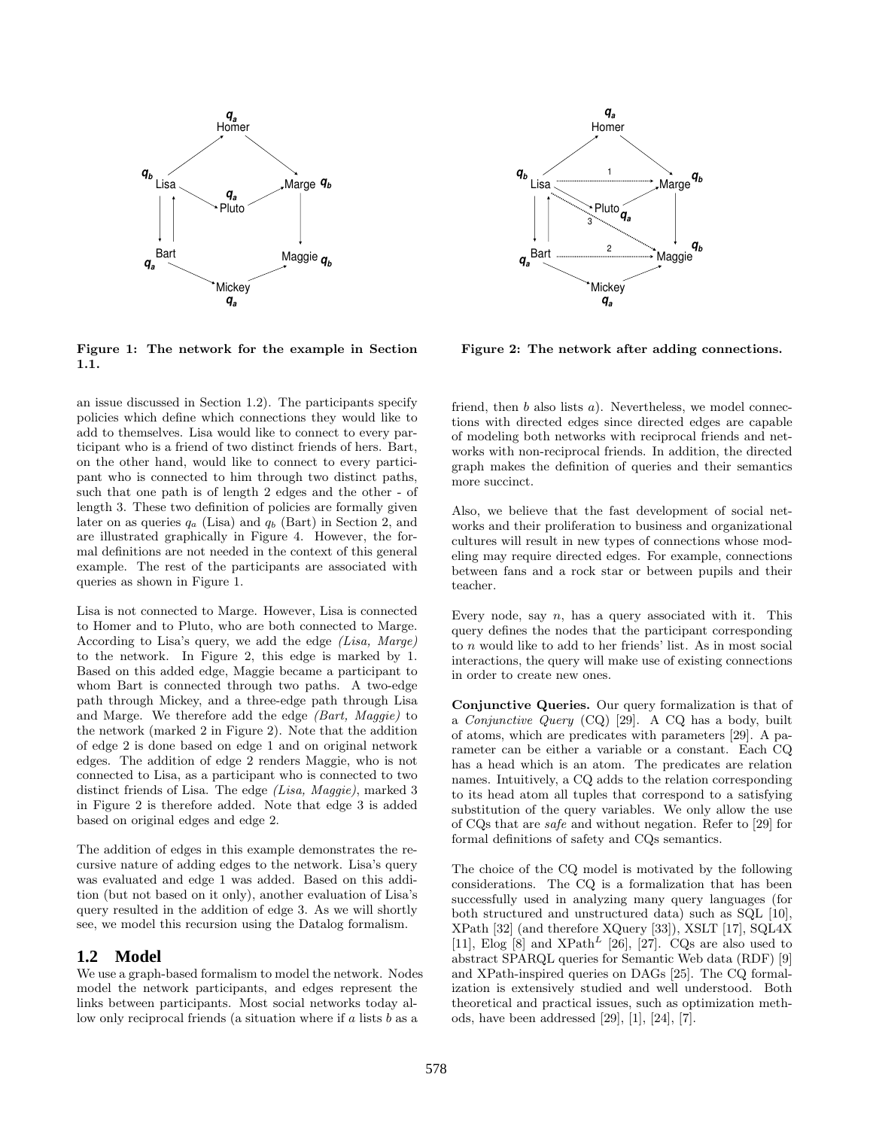

Figure 1: The network for the example in Section 1.1.

an issue discussed in Section 1.2). The participants specify policies which define which connections they would like to add to themselves. Lisa would like to connect to every participant who is a friend of two distinct friends of hers. Bart, on the other hand, would like to connect to every participant who is connected to him through two distinct paths, such that one path is of length 2 edges and the other - of length 3. These two definition of policies are formally given later on as queries  $q_a$  (Lisa) and  $q_b$  (Bart) in Section 2, and are illustrated graphically in Figure 4. However, the formal definitions are not needed in the context of this general example. The rest of the participants are associated with queries as shown in Figure 1.

Lisa is not connected to Marge. However, Lisa is connected to Homer and to Pluto, who are both connected to Marge. According to Lisa's query, we add the edge (Lisa, Marge) to the network. In Figure 2, this edge is marked by 1. Based on this added edge, Maggie became a participant to whom Bart is connected through two paths. A two-edge path through Mickey, and a three-edge path through Lisa and Marge. We therefore add the edge (Bart, Maggie) to the network (marked 2 in Figure 2). Note that the addition of edge 2 is done based on edge 1 and on original network edges. The addition of edge 2 renders Maggie, who is not connected to Lisa, as a participant who is connected to two distinct friends of Lisa. The edge (Lisa, Maggie), marked 3 in Figure 2 is therefore added. Note that edge 3 is added based on original edges and edge 2.

The addition of edges in this example demonstrates the recursive nature of adding edges to the network. Lisa's query was evaluated and edge 1 was added. Based on this addition (but not based on it only), another evaluation of Lisa's query resulted in the addition of edge 3. As we will shortly see, we model this recursion using the Datalog formalism.

# **1.2 Model**

We use a graph-based formalism to model the network. Nodes model the network participants, and edges represent the links between participants. Most social networks today allow only reciprocal friends (a situation where if  $a$  lists  $b$  as a



Figure 2: The network after adding connections.

friend, then  $b$  also lists  $a$ ). Nevertheless, we model connections with directed edges since directed edges are capable of modeling both networks with reciprocal friends and networks with non-reciprocal friends. In addition, the directed graph makes the definition of queries and their semantics more succinct.

Also, we believe that the fast development of social networks and their proliferation to business and organizational cultures will result in new types of connections whose modeling may require directed edges. For example, connections between fans and a rock star or between pupils and their teacher.

Every node, say  $n$ , has a query associated with it. This query defines the nodes that the participant corresponding to n would like to add to her friends' list. As in most social interactions, the query will make use of existing connections in order to create new ones.

Conjunctive Queries. Our query formalization is that of a Conjunctive Query (CQ) [29]. A CQ has a body, built of atoms, which are predicates with parameters [29]. A parameter can be either a variable or a constant. Each CQ has a head which is an atom. The predicates are relation names. Intuitively, a CQ adds to the relation corresponding to its head atom all tuples that correspond to a satisfying substitution of the query variables. We only allow the use of CQs that are safe and without negation. Refer to [29] for formal definitions of safety and CQs semantics.

The choice of the CQ model is motivated by the following considerations. The CQ is a formalization that has been successfully used in analyzing many query languages (for both structured and unstructured data) such as SQL [10], XPath [32] (and therefore XQuery [33]), XSLT [17], SQL4X [11], Elog [8] and  $XPath<sup>L</sup>$  [26], [27]. CQs are also used to abstract SPARQL queries for Semantic Web data (RDF) [9] and XPath-inspired queries on DAGs [25]. The CQ formalization is extensively studied and well understood. Both theoretical and practical issues, such as optimization methods, have been addressed [29], [1], [24], [7].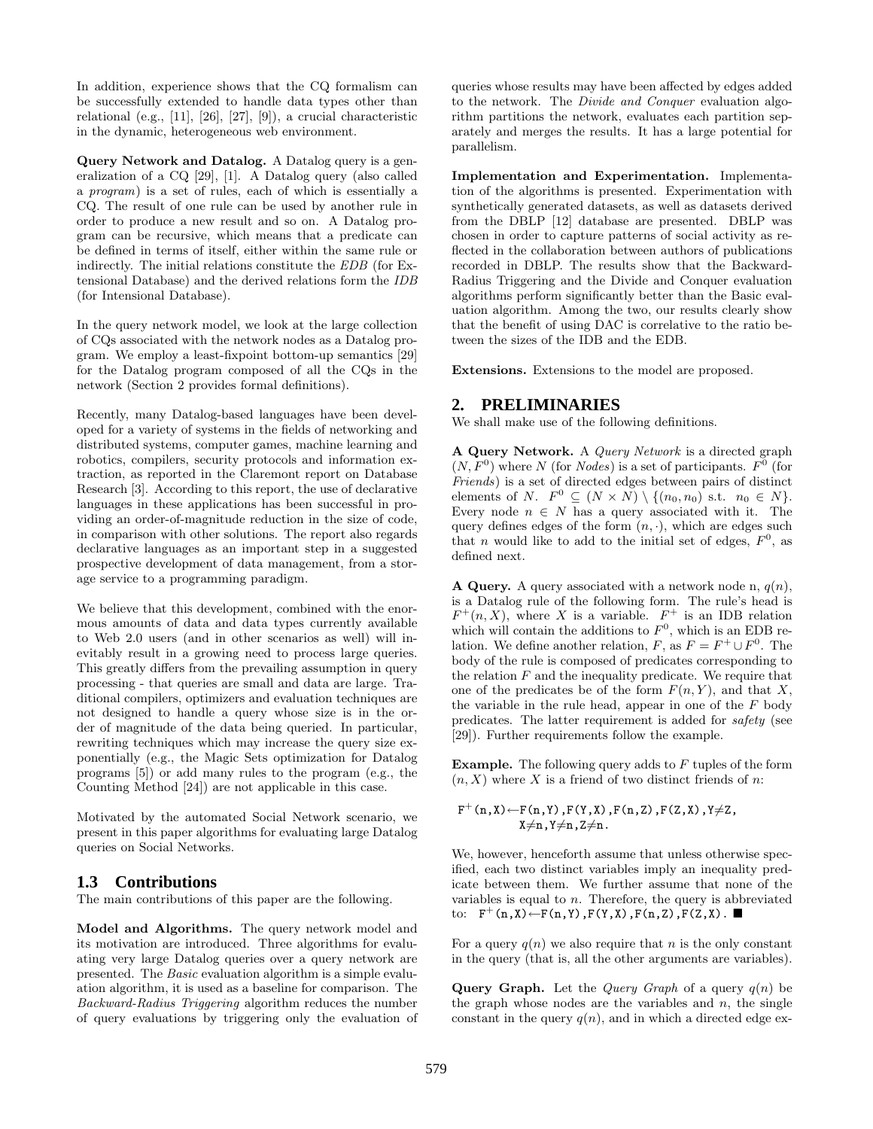In addition, experience shows that the CQ formalism can be successfully extended to handle data types other than relational (e.g., [11], [26], [27], [9]), a crucial characteristic in the dynamic, heterogeneous web environment.

Query Network and Datalog. A Datalog query is a generalization of a CQ [29], [1]. A Datalog query (also called a program) is a set of rules, each of which is essentially a CQ. The result of one rule can be used by another rule in order to produce a new result and so on. A Datalog program can be recursive, which means that a predicate can be defined in terms of itself, either within the same rule or indirectly. The initial relations constitute the EDB (for Extensional Database) and the derived relations form the IDB (for Intensional Database).

In the query network model, we look at the large collection of CQs associated with the network nodes as a Datalog program. We employ a least-fixpoint bottom-up semantics [29] for the Datalog program composed of all the CQs in the network (Section 2 provides formal definitions).

Recently, many Datalog-based languages have been developed for a variety of systems in the fields of networking and distributed systems, computer games, machine learning and robotics, compilers, security protocols and information extraction, as reported in the Claremont report on Database Research [3]. According to this report, the use of declarative languages in these applications has been successful in providing an order-of-magnitude reduction in the size of code, in comparison with other solutions. The report also regards declarative languages as an important step in a suggested prospective development of data management, from a storage service to a programming paradigm.

We believe that this development, combined with the enormous amounts of data and data types currently available to Web 2.0 users (and in other scenarios as well) will inevitably result in a growing need to process large queries. This greatly differs from the prevailing assumption in query processing - that queries are small and data are large. Traditional compilers, optimizers and evaluation techniques are not designed to handle a query whose size is in the order of magnitude of the data being queried. In particular, rewriting techniques which may increase the query size exponentially (e.g., the Magic Sets optimization for Datalog programs [5]) or add many rules to the program (e.g., the Counting Method [24]) are not applicable in this case.

Motivated by the automated Social Network scenario, we present in this paper algorithms for evaluating large Datalog queries on Social Networks.

# **1.3 Contributions**

The main contributions of this paper are the following.

Model and Algorithms. The query network model and its motivation are introduced. Three algorithms for evaluating very large Datalog queries over a query network are presented. The Basic evaluation algorithm is a simple evaluation algorithm, it is used as a baseline for comparison. The Backward-Radius Triggering algorithm reduces the number of query evaluations by triggering only the evaluation of queries whose results may have been affected by edges added to the network. The Divide and Conquer evaluation algorithm partitions the network, evaluates each partition separately and merges the results. It has a large potential for parallelism.

Implementation and Experimentation. Implementation of the algorithms is presented. Experimentation with synthetically generated datasets, as well as datasets derived from the DBLP [12] database are presented. DBLP was chosen in order to capture patterns of social activity as reflected in the collaboration between authors of publications recorded in DBLP. The results show that the Backward-Radius Triggering and the Divide and Conquer evaluation algorithms perform significantly better than the Basic evaluation algorithm. Among the two, our results clearly show that the benefit of using DAC is correlative to the ratio between the sizes of the IDB and the EDB.

Extensions. Extensions to the model are proposed.

# **2. PRELIMINARIES**

We shall make use of the following definitions.

A Query Network. A Query Network is a directed graph  $(N, F<sup>0</sup>)$  where N (for Nodes) is a set of participants.  $F<sup>0</sup>$  (for Friends) is a set of directed edges between pairs of distinct elements of N.  $F^0 \subseteq (N \times N) \setminus \{(n_0, n_0) \text{ s.t. } n_0 \in N\}.$ Every node  $n \in N$  has a query associated with it. The query defines edges of the form  $(n, \cdot)$ , which are edges such that *n* would like to add to the initial set of edges,  $F^0$ , as defined next.

A Query. A query associated with a network node n,  $q(n)$ , is a Datalog rule of the following form. The rule's head is  $F^+(n, X)$ , where X is a variable.  $F^+$  is an IDB relation which will contain the additions to  $F^0$ , which is an EDB relation. We define another relation, F, as  $F = F^+ \cup F^0$ . The body of the rule is composed of predicates corresponding to the relation  $F$  and the inequality predicate. We require that one of the predicates be of the form  $F(n, Y)$ , and that X, the variable in the rule head, appear in one of the  $F$  body predicates. The latter requirement is added for safety (see [29]). Further requirements follow the example.

**Example.** The following query adds to  $F$  tuples of the form  $(n, X)$  where X is a friend of two distinct friends of n:

$$
F^+(n,X) \leftarrow F(n,Y), F(Y,X), F(n,Z), F(Z,X), Y \neq Z, \newline X \neq n, Y \neq n, Z \neq n.
$$

We, however, henceforth assume that unless otherwise specified, each two distinct variables imply an inequality predicate between them. We further assume that none of the variables is equal to  $n$ . Therefore, the query is abbreviated to:  $F^+(n,X)$  ←  $F(n,Y)$ ,  $F(Y,X)$ ,  $F(n,Z)$ ,  $F(Z,X)$ . ■

For a query  $q(n)$  we also require that n is the only constant in the query (that is, all the other arguments are variables).

**Query Graph.** Let the *Query Graph* of a query  $q(n)$  be the graph whose nodes are the variables and  $n$ , the single constant in the query  $q(n)$ , and in which a directed edge ex-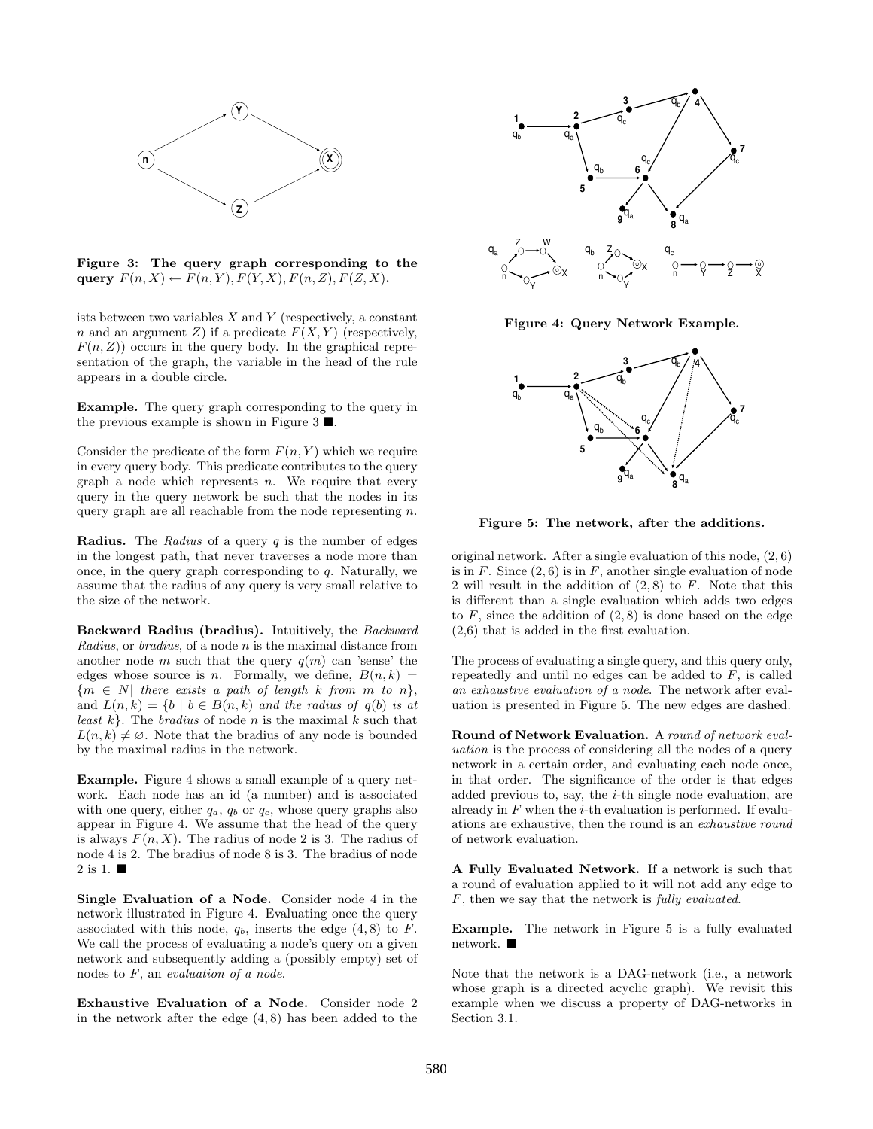

Figure 3: The query graph corresponding to the query  $F(n, X) \leftarrow F(n, Y), F(Y, X), F(n, Z), F(Z, X).$ 

ists between two variables  $X$  and  $Y$  (respectively, a constant n and an argument Z) if a predicate  $F(X, Y)$  (respectively,  $F(n, Z)$  occurs in the query body. In the graphical representation of the graph, the variable in the head of the rule appears in a double circle.

Example. The query graph corresponding to the query in the previous example is shown in Figure 3  $\blacksquare$ .

Consider the predicate of the form  $F(n, Y)$  which we require in every query body. This predicate contributes to the query graph a node which represents  $n$ . We require that every query in the query network be such that the nodes in its query graph are all reachable from the node representing  $n$ .

**Radius.** The Radius of a query  $q$  is the number of edges in the longest path, that never traverses a node more than once, in the query graph corresponding to  $q$ . Naturally, we assume that the radius of any query is very small relative to the size of the network.

Backward Radius (bradius). Intuitively, the Backward Radius, or bradius, of a node n is the maximal distance from another node m such that the query  $q(m)$  can 'sense' the edges whose source is *n*. Formally, we define,  $B(n, k)$  =  ${m \in N}$  there exists a path of length k from m to n}, and  $L(n, k) = \{b \mid b \in B(n, k) \text{ and the radius of } q(b) \text{ is at }$ *least*  $k$ . The *bradius* of node *n* is the maximal  $k$  such that  $L(n, k) \neq \emptyset$ . Note that the bradius of any node is bounded by the maximal radius in the network.

Example. Figure 4 shows a small example of a query network. Each node has an id (a number) and is associated with one query, either  $q_a$ ,  $q_b$  or  $q_c$ , whose query graphs also appear in Figure 4. We assume that the head of the query is always  $F(n, X)$ . The radius of node 2 is 3. The radius of node 4 is 2. The bradius of node 8 is 3. The bradius of node 2 is 1. ■

Single Evaluation of a Node. Consider node 4 in the network illustrated in Figure 4. Evaluating once the query associated with this node,  $q_b$ , inserts the edge  $(4, 8)$  to F. We call the process of evaluating a node's query on a given network and subsequently adding a (possibly empty) set of nodes to  $F$ , an evaluation of a node.

Exhaustive Evaluation of a Node. Consider node 2 in the network after the edge  $(4, 8)$  has been added to the



Figure 4: Query Network Example.



Figure 5: The network, after the additions.

original network. After a single evaluation of this node, (2, 6) is in  $F$ . Since  $(2, 6)$  is in  $F$ , another single evaluation of node 2 will result in the addition of  $(2, 8)$  to F. Note that this is different than a single evaluation which adds two edges to  $F$ , since the addition of  $(2, 8)$  is done based on the edge (2,6) that is added in the first evaluation.

The process of evaluating a single query, and this query only, repeatedly and until no edges can be added to  $F$ , is called an exhaustive evaluation of a node. The network after evaluation is presented in Figure 5. The new edges are dashed.

Round of Network Evaluation. A round of network evaluation is the process of considering all the nodes of a query network in a certain order, and evaluating each node once, in that order. The significance of the order is that edges added previous to, say, the  $i$ -th single node evaluation, are already in  $F$  when the *i*-th evaluation is performed. If evaluations are exhaustive, then the round is an exhaustive round of network evaluation.

A Fully Evaluated Network. If a network is such that a round of evaluation applied to it will not add any edge to F, then we say that the network is fully evaluated.

Example. The network in Figure 5 is a fully evaluated network.

Note that the network is a DAG-network (i.e., a network whose graph is a directed acyclic graph). We revisit this example when we discuss a property of DAG-networks in Section 3.1.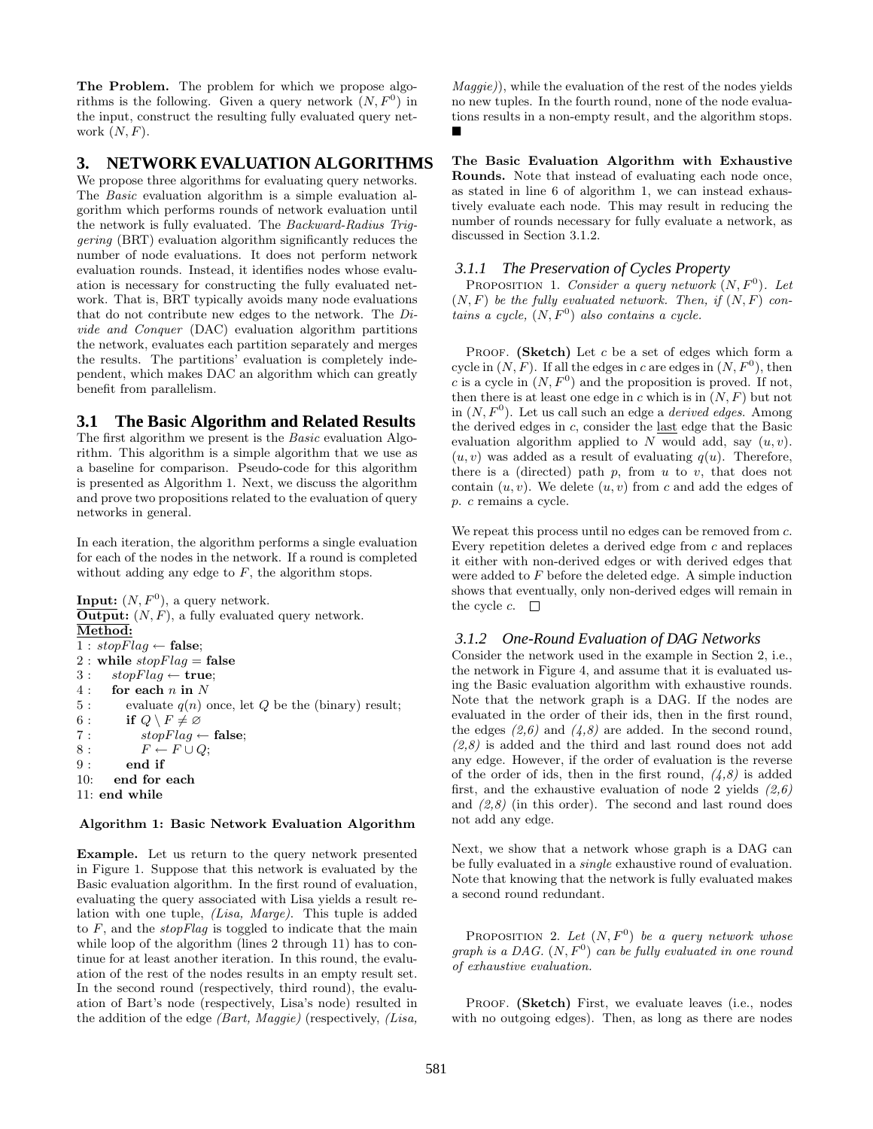The Problem. The problem for which we propose algorithms is the following. Given a query network  $(N, F<sup>0</sup>)$  in the input, construct the resulting fully evaluated query network  $(N, F)$ .

# **3. NETWORK EVALUATION ALGORITHMS**

We propose three algorithms for evaluating query networks. The Basic evaluation algorithm is a simple evaluation algorithm which performs rounds of network evaluation until the network is fully evaluated. The Backward-Radius Triggering (BRT) evaluation algorithm significantly reduces the number of node evaluations. It does not perform network evaluation rounds. Instead, it identifies nodes whose evaluation is necessary for constructing the fully evaluated network. That is, BRT typically avoids many node evaluations that do not contribute new edges to the network. The Divide and Conquer (DAC) evaluation algorithm partitions the network, evaluates each partition separately and merges the results. The partitions' evaluation is completely independent, which makes DAC an algorithm which can greatly benefit from parallelism.

# **3.1 The Basic Algorithm and Related Results**

The first algorithm we present is the Basic evaluation Algorithm. This algorithm is a simple algorithm that we use as a baseline for comparison. Pseudo-code for this algorithm is presented as Algorithm 1. Next, we discuss the algorithm and prove two propositions related to the evaluation of query networks in general.

In each iteration, the algorithm performs a single evaluation for each of the nodes in the network. If a round is completed without adding any edge to  $F$ , the algorithm stops.

```
Input: (N, F^0), a query network.
\overline{\text{Output}}: (N, F), a fully evaluated query network.
Method:
1 : stopFlag \leftarrow false;2 : while stopFlag = false3: stopFlag \leftarrow true;4: for each n in N
5 : evaluate q(n) once, let Q be the (binary) result;<br>6 : if Q \setminus F \neq \emptysetif Q \setminus F \neq \emptyset7 : stopFlag \leftarrow false;8 : F \leftarrow F \cup Q;
9: end if
10: end for each
11: end while
```
### Algorithm 1: Basic Network Evaluation Algorithm

Example. Let us return to the query network presented in Figure 1. Suppose that this network is evaluated by the Basic evaluation algorithm. In the first round of evaluation, evaluating the query associated with Lisa yields a result relation with one tuple, (Lisa, Marge). This tuple is added to  $F$ , and the *stopFlag* is toggled to indicate that the main while loop of the algorithm (lines 2 through 11) has to continue for at least another iteration. In this round, the evaluation of the rest of the nodes results in an empty result set. In the second round (respectively, third round), the evaluation of Bart's node (respectively, Lisa's node) resulted in the addition of the edge (Bart, Maggie) (respectively, (Lisa,

Maggie)), while the evaluation of the rest of the nodes yields no new tuples. In the fourth round, none of the node evaluations results in a non-empty result, and the algorithm stops.  $\blacksquare$ 

The Basic Evaluation Algorithm with Exhaustive Rounds. Note that instead of evaluating each node once, as stated in line 6 of algorithm 1, we can instead exhaustively evaluate each node. This may result in reducing the number of rounds necessary for fully evaluate a network, as discussed in Section 3.1.2.

## *3.1.1 The Preservation of Cycles Property*

PROPOSITION 1. Consider a query network  $(N, F^0)$ . Let  $(N, F)$  be the fully evaluated network. Then, if  $(N, F)$  contains a cycle,  $(N, F^0)$  also contains a cycle.

PROOF. (Sketch) Let  $c$  be a set of edges which form a cycle in  $(N, F)$ . If all the edges in c are edges in  $(N, F^0)$ , then c is a cycle in  $(N, F^0)$  and the proposition is proved. If not, then there is at least one edge in c which is in  $(N, F)$  but not in  $(N, F^0)$ . Let us call such an edge a *derived edges*. Among the derived edges in c, consider the last edge that the Basic evaluation algorithm applied to  $N$  would add, say  $(u, v)$ .  $(u, v)$  was added as a result of evaluating  $q(u)$ . Therefore, there is a (directed) path  $p$ , from  $u$  to  $v$ , that does not contain  $(u, v)$ . We delete  $(u, v)$  from c and add the edges of p. c remains a cycle.

We repeat this process until no edges can be removed from  $c$ . Every repetition deletes a derived edge from c and replaces it either with non-derived edges or with derived edges that were added to F before the deleted edge. A simple induction shows that eventually, only non-derived edges will remain in the cycle  $c$ .  $\square$ 

# *3.1.2 One-Round Evaluation of DAG Networks*

Consider the network used in the example in Section 2, i.e., the network in Figure 4, and assume that it is evaluated using the Basic evaluation algorithm with exhaustive rounds. Note that the network graph is a DAG. If the nodes are evaluated in the order of their ids, then in the first round, the edges  $(2,6)$  and  $(4,8)$  are added. In the second round,  $(2,8)$  is added and the third and last round does not add any edge. However, if the order of evaluation is the reverse of the order of ids, then in the first round,  $(4,8)$  is added first, and the exhaustive evaluation of node 2 yields  $(2,6)$ and  $(2,8)$  (in this order). The second and last round does not add any edge.

Next, we show that a network whose graph is a DAG can be fully evaluated in a single exhaustive round of evaluation. Note that knowing that the network is fully evaluated makes a second round redundant.

PROPOSITION 2. Let  $(N, F<sup>0</sup>)$  be a query network whose graph is a DAG.  $(N, F^0)$  can be fully evaluated in one round of exhaustive evaluation.

PROOF. (Sketch) First, we evaluate leaves (i.e., nodes with no outgoing edges). Then, as long as there are nodes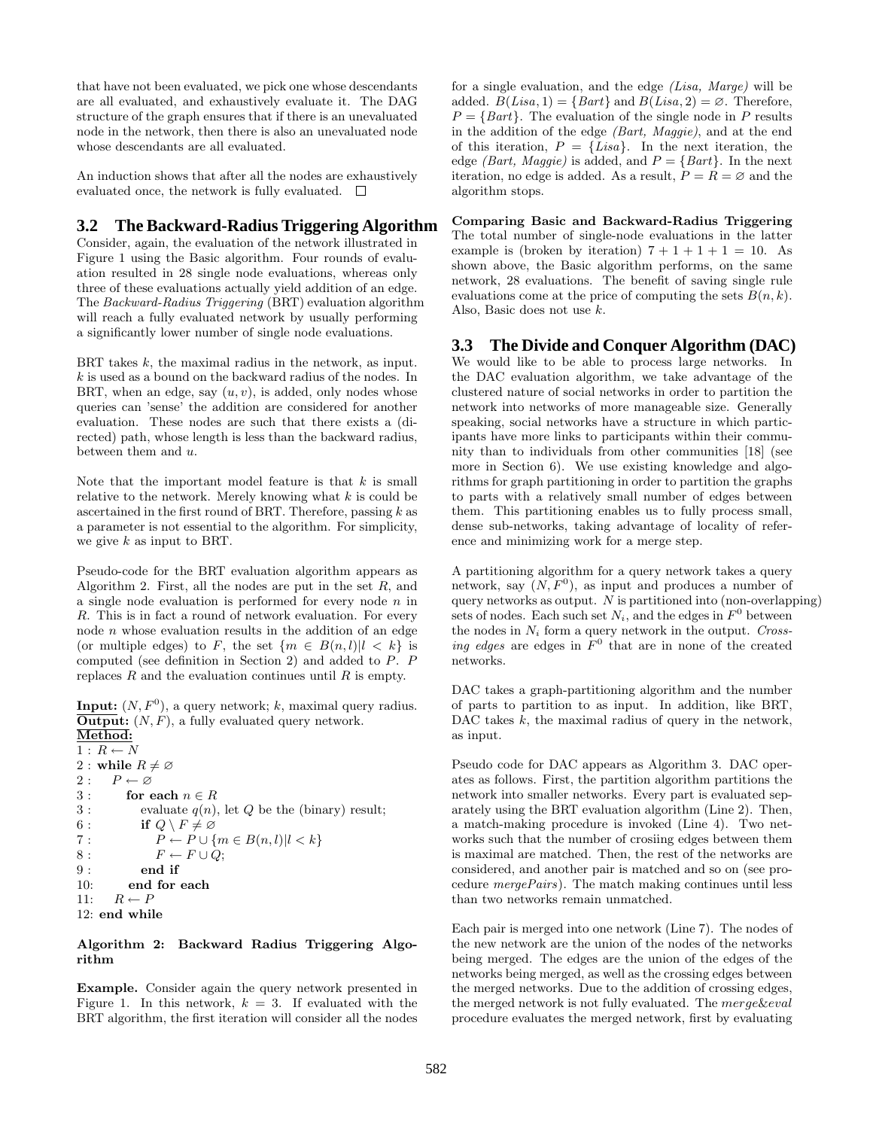that have not been evaluated, we pick one whose descendants are all evaluated, and exhaustively evaluate it. The DAG structure of the graph ensures that if there is an unevaluated node in the network, then there is also an unevaluated node whose descendants are all evaluated.

An induction shows that after all the nodes are exhaustively evaluated once, the network is fully evaluated.  $\Box$ 

# **3.2 The Backward-Radius Triggering Algorithm**

Consider, again, the evaluation of the network illustrated in Figure 1 using the Basic algorithm. Four rounds of evaluation resulted in 28 single node evaluations, whereas only three of these evaluations actually yield addition of an edge. The Backward-Radius Triggering (BRT) evaluation algorithm will reach a fully evaluated network by usually performing a significantly lower number of single node evaluations.

BRT takes k, the maximal radius in the network, as input.  $k$  is used as a bound on the backward radius of the nodes. In BRT, when an edge, say  $(u, v)$ , is added, only nodes whose queries can 'sense' the addition are considered for another evaluation. These nodes are such that there exists a (directed) path, whose length is less than the backward radius, between them and u.

Note that the important model feature is that  $k$  is small relative to the network. Merely knowing what  $k$  is could be ascertained in the first round of BRT. Therefore, passing  $k$  as a parameter is not essential to the algorithm. For simplicity, we give  $k$  as input to BRT.

Pseudo-code for the BRT evaluation algorithm appears as Algorithm 2. First, all the nodes are put in the set  $R$ , and a single node evaluation is performed for every node  $n$  in R. This is in fact a round of network evaluation. For every node n whose evaluation results in the addition of an edge (or multiple edges) to F, the set  $\{m \in B(n, l)|l \leq k\}$  is computed (see definition in Section 2) and added to P. P replaces  $R$  and the evaluation continues until  $R$  is empty.

**Input:**  $(N, F^0)$ , a query network; k, maximal query radius. **Output:**  $(N, F)$ , a fully evaluated query network.

Method:  $1$  :  $R \leftarrow N$ 2 : while  $R \neq \emptyset$ 2 :  $P \leftarrow \varnothing$ 3 : for each  $n \in R$ 3 : evaluate  $q(n)$ , let  $Q$  be the (binary) result; 6 : if  $Q \setminus F \neq \emptyset$ <br>7 :  $P \leftarrow P \cup \{$  $P \leftarrow P \cup \{m \in B(n, l)|l < k\}$ 8 :  $F \leftarrow F \cup Q;$ 9 : end if 10: end for each 11:  $R \leftarrow P$ 12: end while

#### Algorithm 2: Backward Radius Triggering Algorithm

Example. Consider again the query network presented in Figure 1. In this network,  $k = 3$ . If evaluated with the BRT algorithm, the first iteration will consider all the nodes for a single evaluation, and the edge (Lisa, Marge) will be added.  $B(Lisa, 1) = \{ Bart\}$  and  $B(Lisa, 2) = \emptyset$ . Therefore,  $P = \{Bart\}$ . The evaluation of the single node in P results in the addition of the edge (Bart, Maggie), and at the end of this iteration,  $P = \{ Lisa\}$ . In the next iteration, the edge *(Bart, Maggie)* is added, and  $P = \{Bart\}$ . In the next iteration, no edge is added. As a result,  $P = R = \emptyset$  and the algorithm stops.

Comparing Basic and Backward-Radius Triggering The total number of single-node evaluations in the latter example is (broken by iteration)  $7 + 1 + 1 + 1 = 10$ . As shown above, the Basic algorithm performs, on the same network, 28 evaluations. The benefit of saving single rule evaluations come at the price of computing the sets  $B(n, k)$ . Also, Basic does not use k.

# **3.3 The Divide and Conquer Algorithm (DAC)**

We would like to be able to process large networks. In the DAC evaluation algorithm, we take advantage of the clustered nature of social networks in order to partition the network into networks of more manageable size. Generally speaking, social networks have a structure in which participants have more links to participants within their community than to individuals from other communities [18] (see more in Section 6). We use existing knowledge and algorithms for graph partitioning in order to partition the graphs to parts with a relatively small number of edges between them. This partitioning enables us to fully process small, dense sub-networks, taking advantage of locality of reference and minimizing work for a merge step.

A partitioning algorithm for a query network takes a query network, say  $(N, F<sup>0</sup>)$ , as input and produces a number of query networks as output.  $N$  is partitioned into (non-overlapping) sets of nodes. Each such set  $N_i$ , and the edges in  $F^0$  between the nodes in  $N_i$  form a query network in the output. Crossing edges are edges in  $\overline{F}^0$  that are in none of the created networks.

DAC takes a graph-partitioning algorithm and the number of parts to partition to as input. In addition, like BRT, DAC takes  $k$ , the maximal radius of query in the network, as input.

Pseudo code for DAC appears as Algorithm 3. DAC operates as follows. First, the partition algorithm partitions the network into smaller networks. Every part is evaluated separately using the BRT evaluation algorithm (Line 2). Then, a match-making procedure is invoked (Line 4). Two networks such that the number of crosiing edges between them is maximal are matched. Then, the rest of the networks are considered, and another pair is matched and so on (see procedure mergePairs). The match making continues until less than two networks remain unmatched.

Each pair is merged into one network (Line 7). The nodes of the new network are the union of the nodes of the networks being merged. The edges are the union of the edges of the networks being merged, as well as the crossing edges between the merged networks. Due to the addition of crossing edges, the merged network is not fully evaluated. The merge&eval procedure evaluates the merged network, first by evaluating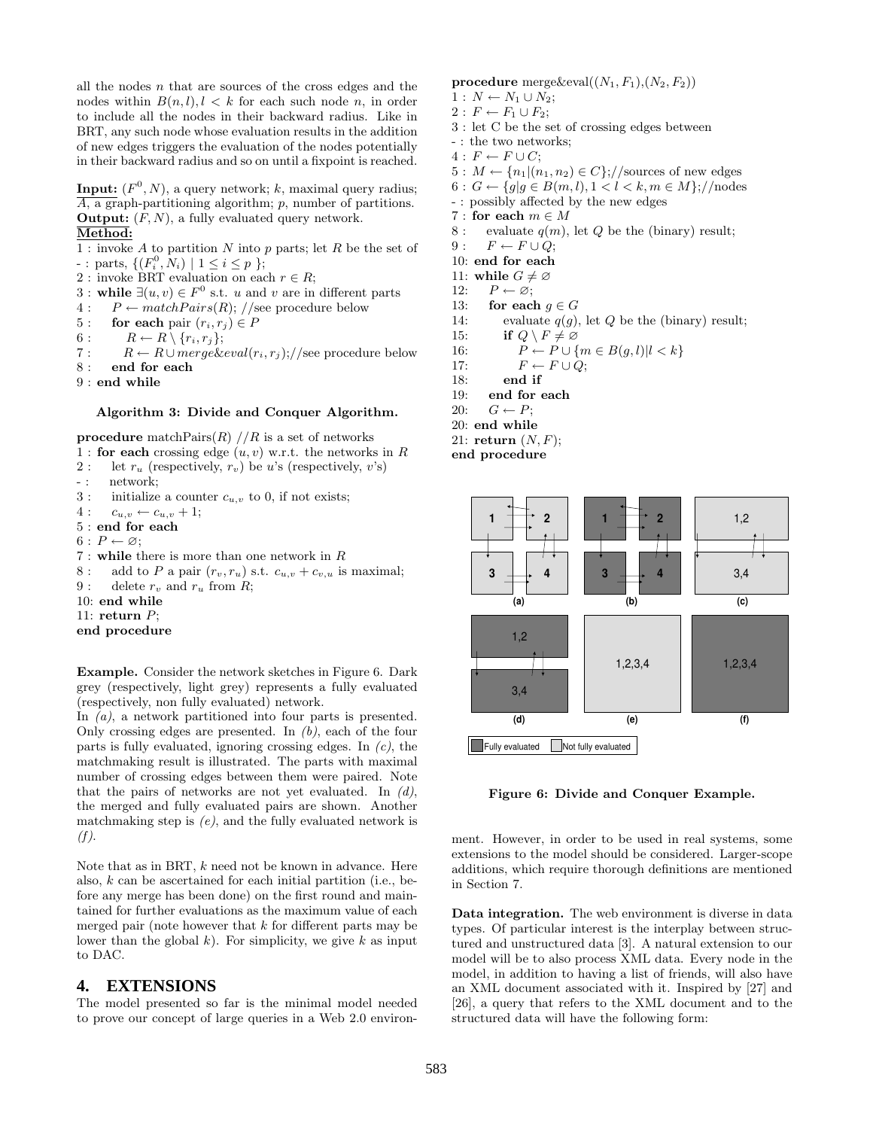all the nodes  $n$  that are sources of the cross edges and the nodes within  $B(n, l), l \leq k$  for each such node n, in order to include all the nodes in their backward radius. Like in BRT, any such node whose evaluation results in the addition of new edges triggers the evaluation of the nodes potentially in their backward radius and so on until a fixpoint is reached.

**Input:**  $(F^0, N)$ , a query network; k, maximal query radius;  $\overline{A}$ , a graph-partitioning algorithm; p, number of partitions. **Output:**  $(F, N)$ , a fully evaluated query network. Method:

1 : invoke A to partition N into p parts; let R be the set of -: parts,  $\{(F_i^0, N_i) | 1 \le i \le p \};$ 

- 2 : invoke BRT evaluation on each  $r \in R$ ;
- 
- 3 : while ∃ $(u, v) \in F^0$  s.t. u and v are in different parts  $4: P \leftarrow matchPairs(R); // see procedure below$
- 
- 5 : for each pair  $(r_i, r_j) \in P$
- 6 :  $R \leftarrow R \setminus \{r_i, r_j\};$

7 :  $R \leftarrow R \cup merge\&eval(r_i,r_j); //$ see procedure below

- 8 : end for each
- 9 : end while

#### Algorithm 3: Divide and Conquer Algorithm.

procedure matchPairs $(R)$  // $R$  is a set of networks

- 1 : for each crossing edge  $(u, v)$  w.r.t. the networks in R
- 2 : let  $r_u$  (respectively,  $r_v$ ) be u's (respectively, v's)
- -: network;
- 3 : initialize a counter  $c_{u,v}$  to 0, if not exists;
- $4: c_{u,v} \leftarrow c_{u,v} + 1;$
- 5 : end for each
- $6: P \leftarrow \varnothing;$
- 7 : while there is more than one network in R
- 8 : add to P a pair  $(r_v, r_u)$  s.t.  $c_{u,v} + c_{v,u}$  is maximal;
- 9 : delete  $r_v$  and  $r_u$  from R;
- 10: end while
- 11: return  $P$ ;
- end procedure

Example. Consider the network sketches in Figure 6. Dark grey (respectively, light grey) represents a fully evaluated (respectively, non fully evaluated) network.

In (a), a network partitioned into four parts is presented. Only crossing edges are presented. In  $(b)$ , each of the four parts is fully evaluated, ignoring crossing edges. In  $(c)$ , the matchmaking result is illustrated. The parts with maximal number of crossing edges between them were paired. Note that the pairs of networks are not yet evaluated. In  $(d)$ , the merged and fully evaluated pairs are shown. Another matchmaking step is  $(e)$ , and the fully evaluated network is (f).

Note that as in BRT, k need not be known in advance. Here also, k can be ascertained for each initial partition (i.e., before any merge has been done) on the first round and maintained for further evaluations as the maximum value of each merged pair (note however that  $k$  for different parts may be lower than the global  $k$ ). For simplicity, we give  $k$  as input to DAC.

# **4. EXTENSIONS**

The model presented so far is the minimal model needed to prove our concept of large queries in a Web 2.0 environprocedure merge & eval $((N_1, F_1), (N_2, F_2))$ 

- $1: N \leftarrow N_1 \cup N_2;$
- $2: F \leftarrow F_1 \cup F_2;$
- 3 : let C be the set of crossing edges between
- : the two networks;
- $4: F \leftarrow F \cup C;$
- $5: M \leftarrow \{n_1 | (n_1, n_2) \in C\}; //$ sources of new edges
- 6 :  $G \leftarrow \{g | g \in B(m, l), 1 < l < k, m \in M\}; //$ nodes
- : possibly affected by the new edges
- 7 : for each  $m\in M$
- 8 : evaluate  $q(m)$ , let Q be the (binary) result;
- $9: F \leftarrow F \cup Q;$
- 10: end for each
- 11: while  $G \neq \emptyset$ <br>12:  $P \leftarrow \emptyset$ :
- $P \leftarrow \varnothing;$
- 13: for each  $g \in G$
- 14: evaluate  $q(g)$ , let  $Q$  be the (binary) result;
- 15: if  $Q \setminus F \neq \emptyset$
- 16:  $P \leftarrow P \cup \{m \in B(g, l)|l \lt k\}$
- 17:  $F \leftarrow F \cup Q$ ;
- 18: end if
- 19: end for each
- 20:  $G \leftarrow P$ ;
- 20: end while
- 21: return  $(N, F)$ ;

end procedure



Figure 6: Divide and Conquer Example.

ment. However, in order to be used in real systems, some extensions to the model should be considered. Larger-scope additions, which require thorough definitions are mentioned in Section 7.

Data integration. The web environment is diverse in data types. Of particular interest is the interplay between structured and unstructured data [3]. A natural extension to our model will be to also process XML data. Every node in the model, in addition to having a list of friends, will also have an XML document associated with it. Inspired by [27] and [26], a query that refers to the XML document and to the structured data will have the following form: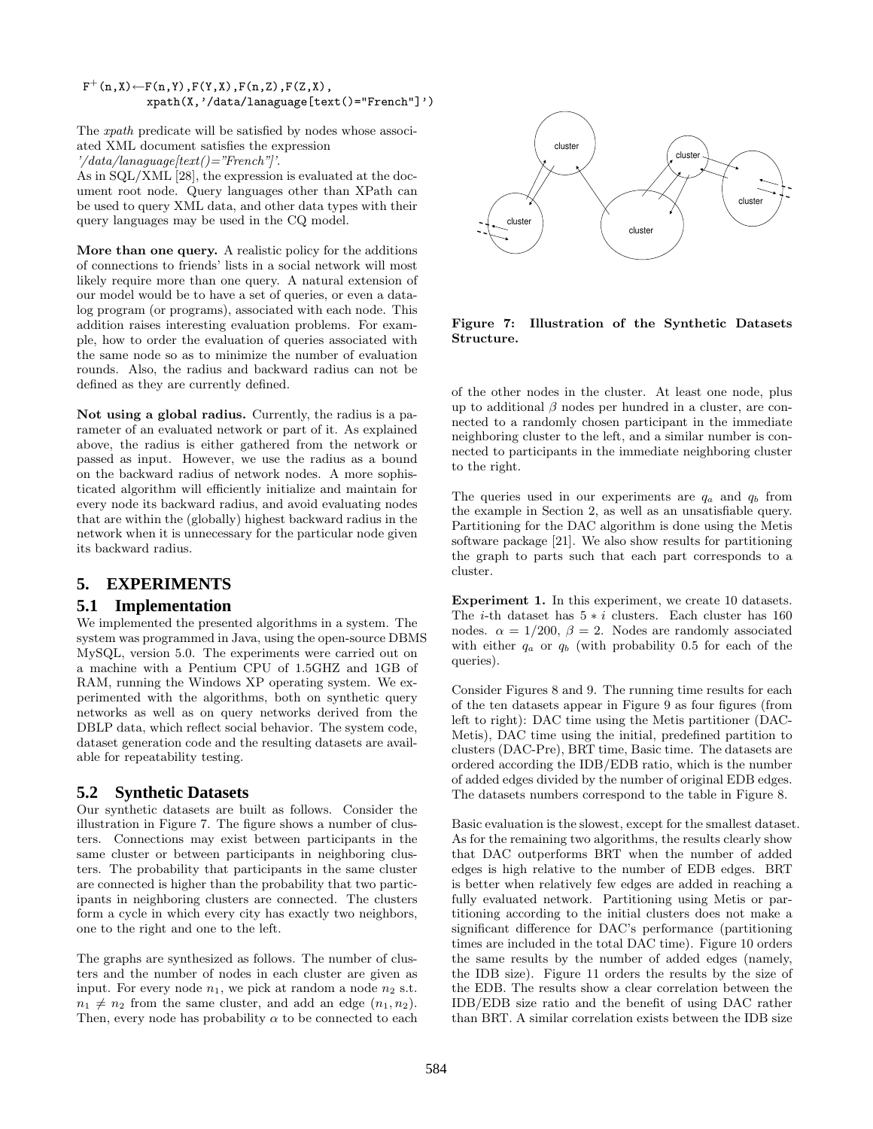$F^+(n,X) \leftarrow F(n,Y)$ , $F(Y,X)$ , $F(n,Z)$ , $F(Z,X)$ , xpath(X,'/data/lanaguage[text()="French"]')

The xpath predicate will be satisfied by nodes whose associated XML document satisfies the expression  $\gamma/data/lana gauge/text() = "French"$ 

As in SQL/XML [28], the expression is evaluated at the document root node. Query languages other than XPath can be used to query XML data, and other data types with their query languages may be used in the CQ model.

More than one query. A realistic policy for the additions of connections to friends' lists in a social network will most likely require more than one query. A natural extension of our model would be to have a set of queries, or even a datalog program (or programs), associated with each node. This addition raises interesting evaluation problems. For example, how to order the evaluation of queries associated with the same node so as to minimize the number of evaluation rounds. Also, the radius and backward radius can not be defined as they are currently defined.

Not using a global radius. Currently, the radius is a parameter of an evaluated network or part of it. As explained above, the radius is either gathered from the network or passed as input. However, we use the radius as a bound on the backward radius of network nodes. A more sophisticated algorithm will efficiently initialize and maintain for every node its backward radius, and avoid evaluating nodes that are within the (globally) highest backward radius in the network when it is unnecessary for the particular node given its backward radius.

# **5. EXPERIMENTS**

### **5.1 Implementation**

We implemented the presented algorithms in a system. The system was programmed in Java, using the open-source DBMS MySQL, version 5.0. The experiments were carried out on a machine with a Pentium CPU of 1.5GHZ and 1GB of RAM, running the Windows XP operating system. We experimented with the algorithms, both on synthetic query networks as well as on query networks derived from the DBLP data, which reflect social behavior. The system code, dataset generation code and the resulting datasets are available for repeatability testing.

### **5.2 Synthetic Datasets**

Our synthetic datasets are built as follows. Consider the illustration in Figure 7. The figure shows a number of clusters. Connections may exist between participants in the same cluster or between participants in neighboring clusters. The probability that participants in the same cluster are connected is higher than the probability that two participants in neighboring clusters are connected. The clusters form a cycle in which every city has exactly two neighbors, one to the right and one to the left.

The graphs are synthesized as follows. The number of clusters and the number of nodes in each cluster are given as input. For every node  $n_1$ , we pick at random a node  $n_2$  s.t.  $n_1 \neq n_2$  from the same cluster, and add an edge  $(n_1, n_2)$ . Then, every node has probability  $\alpha$  to be connected to each



Figure 7: Illustration of the Synthetic Datasets Structure.

of the other nodes in the cluster. At least one node, plus up to additional  $\beta$  nodes per hundred in a cluster, are connected to a randomly chosen participant in the immediate neighboring cluster to the left, and a similar number is connected to participants in the immediate neighboring cluster to the right.

The queries used in our experiments are  $q_a$  and  $q_b$  from the example in Section 2, as well as an unsatisfiable query. Partitioning for the DAC algorithm is done using the Metis software package [21]. We also show results for partitioning the graph to parts such that each part corresponds to a cluster.

Experiment 1. In this experiment, we create 10 datasets. The *i*-th dataset has  $5 * i$  clusters. Each cluster has 160 nodes.  $\alpha = 1/200$ ,  $\beta = 2$ . Nodes are randomly associated with either  $q_a$  or  $q_b$  (with probability 0.5 for each of the queries).

Consider Figures 8 and 9. The running time results for each of the ten datasets appear in Figure 9 as four figures (from left to right): DAC time using the Metis partitioner (DAC-Metis), DAC time using the initial, predefined partition to clusters (DAC-Pre), BRT time, Basic time. The datasets are ordered according the IDB/EDB ratio, which is the number of added edges divided by the number of original EDB edges. The datasets numbers correspond to the table in Figure 8.

Basic evaluation is the slowest, except for the smallest dataset. As for the remaining two algorithms, the results clearly show that DAC outperforms BRT when the number of added edges is high relative to the number of EDB edges. BRT is better when relatively few edges are added in reaching a fully evaluated network. Partitioning using Metis or partitioning according to the initial clusters does not make a significant difference for DAC's performance (partitioning times are included in the total DAC time). Figure 10 orders the same results by the number of added edges (namely, the IDB size). Figure 11 orders the results by the size of the EDB. The results show a clear correlation between the IDB/EDB size ratio and the benefit of using DAC rather than BRT. A similar correlation exists between the IDB size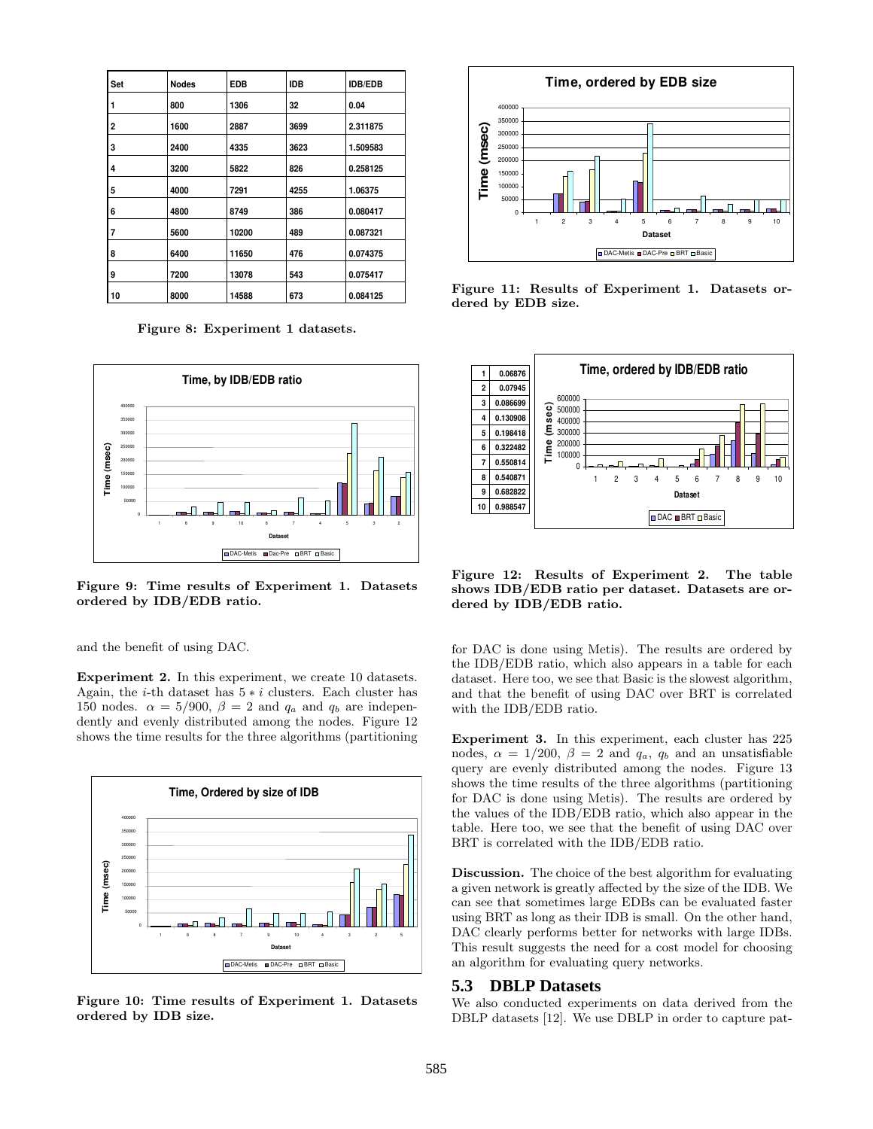| Set | <b>Nodes</b> | <b>EDB</b> | <b>IDB</b> | <b>IDB/EDB</b> |
|-----|--------------|------------|------------|----------------|
| 1   | 800          | 1306       | 32         | 0.04           |
| 2   | 1600         | 2887       | 3699       | 2.311875       |
| 3   | 2400         | 4335       | 3623       | 1.509583       |
| 4   | 3200         | 5822       | 826        | 0.258125       |
| 5   | 4000         | 7291       | 4255       | 1.06375        |
| 6   | 4800         | 8749       | 386        | 0.080417       |
| 7   | 5600         | 10200      | 489        | 0.087321       |
| 8   | 6400         | 11650      | 476        | 0.074375       |
| 9   | 7200         | 13078      | 543        | 0.075417       |
| 10  | 8000         | 14588      | 673        | 0.084125       |

Figure 8: Experiment 1 datasets.



Figure 9: Time results of Experiment 1. Datasets ordered by IDB/EDB ratio.

and the benefit of using DAC.

Experiment 2. In this experiment, we create 10 datasets. Again, the *i*-th dataset has  $5 * i$  clusters. Each cluster has 150 nodes.  $\alpha = 5/900$ ,  $\beta = 2$  and  $q_a$  and  $q_b$  are independently and evenly distributed among the nodes. Figure 12 shows the time results for the three algorithms (partitioning



Figure 10: Time results of Experiment 1. Datasets ordered by IDB size.



Figure 11: Results of Experiment 1. Datasets ordered by EDB size.



Figure 12: Results of Experiment 2. The table shows IDB/EDB ratio per dataset. Datasets are ordered by IDB/EDB ratio.

for DAC is done using Metis). The results are ordered by the IDB/EDB ratio, which also appears in a table for each dataset. Here too, we see that Basic is the slowest algorithm, and that the benefit of using DAC over BRT is correlated with the IDB/EDB ratio.

Experiment 3. In this experiment, each cluster has 225 nodes,  $\alpha = 1/200$ ,  $\beta = 2$  and  $q_a$ ,  $q_b$  and an unsatisfiable query are evenly distributed among the nodes. Figure 13 shows the time results of the three algorithms (partitioning for DAC is done using Metis). The results are ordered by the values of the IDB/EDB ratio, which also appear in the table. Here too, we see that the benefit of using DAC over BRT is correlated with the IDB/EDB ratio.

Discussion. The choice of the best algorithm for evaluating a given network is greatly affected by the size of the IDB. We can see that sometimes large EDBs can be evaluated faster using BRT as long as their IDB is small. On the other hand, DAC clearly performs better for networks with large IDBs. This result suggests the need for a cost model for choosing an algorithm for evaluating query networks.

## **5.3 DBLP Datasets**

We also conducted experiments on data derived from the DBLP datasets [12]. We use DBLP in order to capture pat-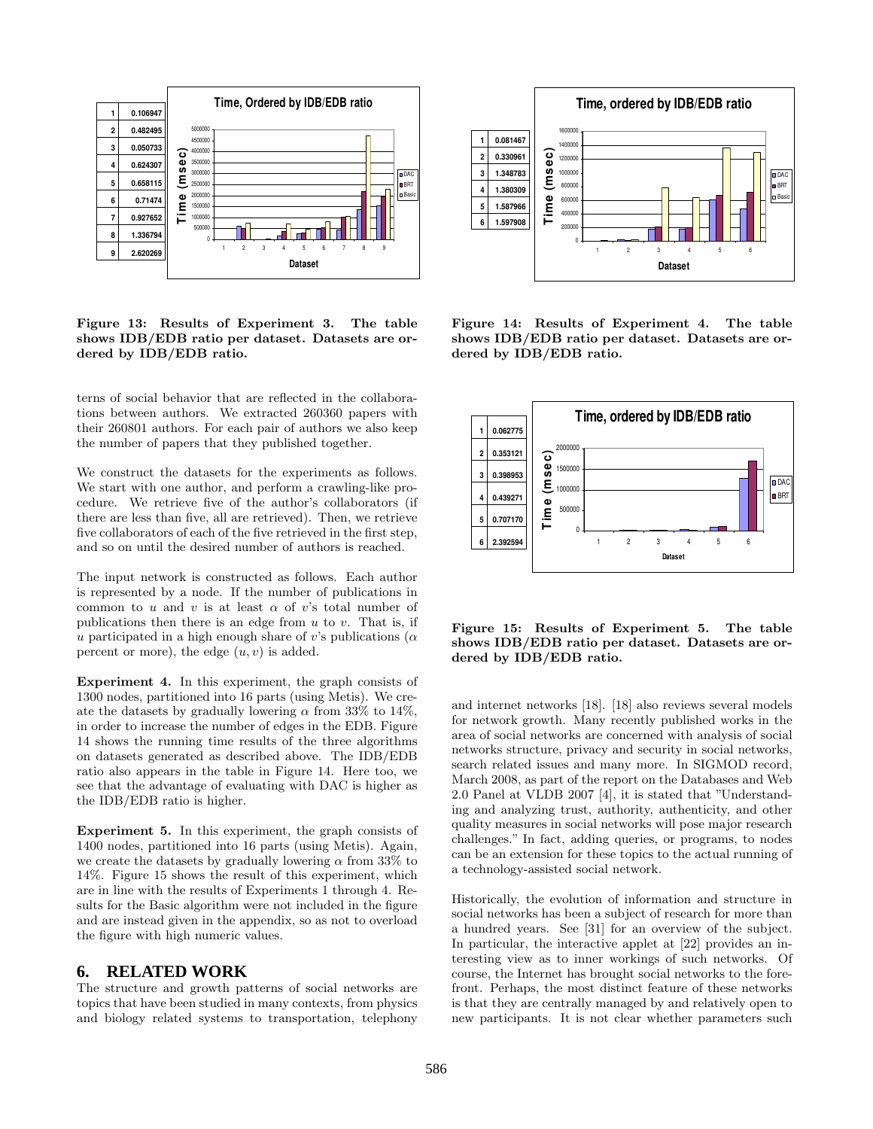

Figure 13: Results of Experiment 3. The table shows IDB/EDB ratio per dataset. Datasets are ordered by IDB/EDB ratio.

terns of social behavior that are reflected in the collaborations between authors. We extracted 260360 papers with their 260801 authors. For each pair of authors we also keep the number of papers that they published together.

We construct the datasets for the experiments as follows. We start with one author, and perform a crawling-like procedure. We retrieve five of the author's collaborators (if there are less than five, all are retrieved). Then, we retrieve five collaborators of each of the five retrieved in the first step, and so on until the desired number of authors is reached.

The input network is constructed as follows. Each author is represented by a node. If the number of publications in common to u and v is at least  $\alpha$  of v's total number of publications then there is an edge from  $u$  to  $v$ . That is, if u participated in a high enough share of v's publications ( $\alpha$ ) percent or more), the edge  $(u, v)$  is added.

Experiment 4. In this experiment, the graph consists of 1300 nodes, partitioned into 16 parts (using Metis). We create the datasets by gradually lowering  $\alpha$  from 33% to 14%. in order to increase the number of edges in the EDB. Figure 14 shows the running time results of the three algorithms on datasets generated as described above. The IDB/EDB ratio also appears in the table in Figure 14. Here too, we see that the advantage of evaluating with DAC is higher as the IDB/EDB ratio is higher.

Experiment 5. In this experiment, the graph consists of 1400 nodes, partitioned into 16 parts (using Metis). Again, we create the datasets by gradually lowering  $\alpha$  from 33% to 14%. Figure 15 shows the result of this experiment, which are in line with the results of Experiments 1 through 4. Results for the Basic algorithm were not included in the figure and are instead given in the appendix, so as not to overload the figure with high numeric values.

# **6. RELATED WORK**

The structure and growth patterns of social networks are topics that have been studied in many contexts, from physics and biology related systems to transportation, telephony



Figure 14: Results of Experiment 4. The table shows IDB/EDB ratio per dataset. Datasets are ordered by IDB/EDB ratio.



Figure 15: Results of Experiment 5. The table shows IDB/EDB ratio per dataset. Datasets are ordered by IDB/EDB ratio.

and internet networks [18]. [18] also reviews several models for network growth. Many recently published works in the area of social networks are concerned with analysis of social networks structure, privacy and security in social networks, search related issues and many more. In SIGMOD record, March 2008, as part of the report on the Databases and Web 2.0 Panel at VLDB 2007 [4], it is stated that "Understanding and analyzing trust, authority, authenticity, and other quality measures in social networks will pose major research challenges." In fact, adding queries, or programs, to nodes can be an extension for these topics to the actual running of a technology-assisted social network.

Historically, the evolution of information and structure in social networks has been a subject of research for more than a hundred years. See [31] for an overview of the subject. In particular, the interactive applet at [22] provides an interesting view as to inner workings of such networks. Of course, the Internet has brought social networks to the forefront. Perhaps, the most distinct feature of these networks is that they are centrally managed by and relatively open to new participants. It is not clear whether parameters such